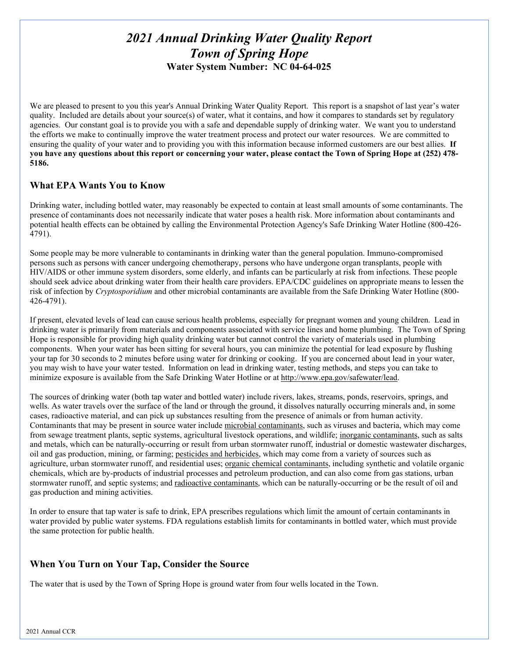# *2021 Annual Drinking Water Quality Report Town of Spring Hope* **Water System Number: NC 04-64-025**

We are pleased to present to you this year's Annual Drinking Water Quality Report. This report is a snapshot of last year's water quality. Included are details about your source(s) of water, what it contains, and how it compares to standards set by regulatory agencies. Our constant goal is to provide you with a safe and dependable supply of drinking water. We want you to understand the efforts we make to continually improve the water treatment process and protect our water resources. We are committed to ensuring the quality of your water and to providing you with this information because informed customers are our best allies. **If you have any questions about this report or concerning your water, please contact the Town of Spring Hope at (252) 478- 5186.** 

## **What EPA Wants You to Know**

Drinking water, including bottled water, may reasonably be expected to contain at least small amounts of some contaminants. The presence of contaminants does not necessarily indicate that water poses a health risk. More information about contaminants and potential health effects can be obtained by calling the Environmental Protection Agency's Safe Drinking Water Hotline (800-426- 4791).

Some people may be more vulnerable to contaminants in drinking water than the general population. Immuno-compromised persons such as persons with cancer undergoing chemotherapy, persons who have undergone organ transplants, people with HIV/AIDS or other immune system disorders, some elderly, and infants can be particularly at risk from infections. These people should seek advice about drinking water from their health care providers. EPA/CDC guidelines on appropriate means to lessen the risk of infection by *Cryptosporidium* and other microbial contaminants are available from the Safe Drinking Water Hotline (800- 426-4791).

If present, elevated levels of lead can cause serious health problems, especially for pregnant women and young children. Lead in drinking water is primarily from materials and components associated with service lines and home plumbing. The Town of Spring Hope is responsible for providing high quality drinking water but cannot control the variety of materials used in plumbing components. When your water has been sitting for several hours, you can minimize the potential for lead exposure by flushing your tap for 30 seconds to 2 minutes before using water for drinking or cooking. If you are concerned about lead in your water, you may wish to have your water tested. Information on lead in drinking water, testing methods, and steps you can take to minimize exposure is available from the Safe Drinking Water Hotline or at [http://www.epa.gov/safewater/lead.](http://www.epa.gov/safewater/lead)

The sources of drinking water (both tap water and bottled water) include rivers, lakes, streams, ponds, reservoirs, springs, and wells. As water travels over the surface of the land or through the ground, it dissolves naturally occurring minerals and, in some cases, radioactive material, and can pick up substances resulting from the presence of animals or from human activity. Contaminants that may be present in source water include microbial contaminants, such as viruses and bacteria, which may come from sewage treatment plants, septic systems, agricultural livestock operations, and wildlife; inorganic contaminants, such as salts and metals, which can be naturally-occurring or result from urban stormwater runoff, industrial or domestic wastewater discharges, oil and gas production, mining, or farming; pesticides and herbicides, which may come from a variety of sources such as agriculture, urban stormwater runoff, and residential uses; organic chemical contaminants, including synthetic and volatile organic chemicals, which are by-products of industrial processes and petroleum production, and can also come from gas stations, urban stormwater runoff, and septic systems; and radioactive contaminants, which can be naturally-occurring or be the result of oil and gas production and mining activities.

In order to ensure that tap water is safe to drink, EPA prescribes regulations which limit the amount of certain contaminants in water provided by public water systems. FDA regulations establish limits for contaminants in bottled water, which must provide the same protection for public health.

## **When You Turn on Your Tap, Consider the Source**

The water that is used by the Town of Spring Hope is ground water from four wells located in the Town.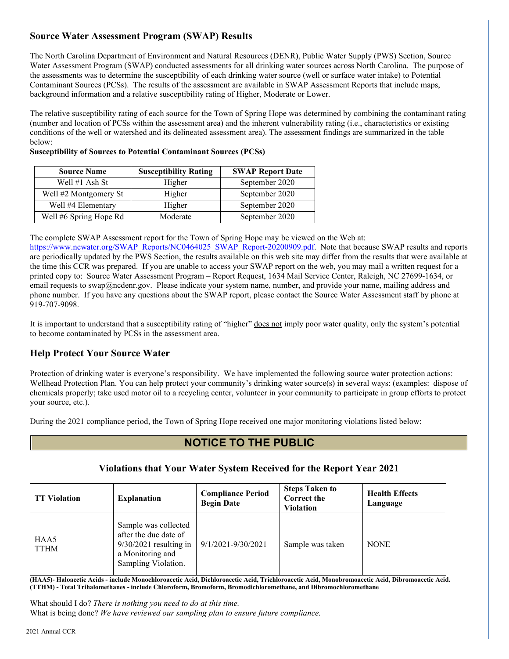# **Source Water Assessment Program (SWAP) Results**

The North Carolina Department of Environment and Natural Resources (DENR), Public Water Supply (PWS) Section, Source Water Assessment Program (SWAP) conducted assessments for all drinking water sources across North Carolina. The purpose of the assessments was to determine the susceptibility of each drinking water source (well or surface water intake) to Potential Contaminant Sources (PCSs). The results of the assessment are available in SWAP Assessment Reports that include maps, background information and a relative susceptibility rating of Higher, Moderate or Lower.

The relative susceptibility rating of each source for the Town of Spring Hope was determined by combining the contaminant rating (number and location of PCSs within the assessment area) and the inherent vulnerability rating (i.e., characteristics or existing conditions of the well or watershed and its delineated assessment area). The assessment findings are summarized in the table below:

| <b>Source Name</b>     | <b>Susceptibility Rating</b> | <b>SWAP Report Date</b> |
|------------------------|------------------------------|-------------------------|
| Well $#1$ Ash St       | Higher                       | September 2020          |
| Well #2 Montgomery St  | Higher                       | September 2020          |
| Well #4 Elementary     | Higher                       | September 2020          |
| Well #6 Spring Hope Rd | Moderate                     | September 2020          |

**Susceptibility of Sources to Potential Contaminant Sources (PCSs)** 

The complete SWAP Assessment report for the Town of Spring Hope may be viewed on the Web at:

[https://www.ncwater.org/SWAP\\_Reports/NC0464025\\_SWAP\\_Report-20200909.pdf.](https://www.ncwater.org/SWAP_Reports/NC0464025_SWAP_Report-20200909.pdf) Note that because SWAP results and reports are periodically updated by the PWS Section, the results available on this web site may differ from the results that were available at the time this CCR was prepared. If you are unable to access your SWAP report on the web, you may mail a written request for a printed copy to: Source Water Assessment Program – Report Request, 1634 Mail Service Center, Raleigh, NC 27699-1634, or email requests to swap@ncdenr.gov. Please indicate your system name, number, and provide your name, mailing address and phone number. If you have any questions about the SWAP report, please contact the Source Water Assessment staff by phone at 919-707-9098.

It is important to understand that a susceptibility rating of "higher" does not imply poor water quality, only the system's potential to become contaminated by PCSs in the assessment area.

# **Help Protect Your Source Water**

Protection of drinking water is everyone's responsibility. We have implemented the following source water protection actions: Wellhead Protection Plan. You can help protect your community's drinking water source(s) in several ways: (examples: dispose of chemicals properly; take used motor oil to a recycling center, volunteer in your community to participate in group efforts to protect your source, etc.).

During the 2021 compliance period, the Town of Spring Hope received one major monitoring violations listed below:

# **NOTICE TO THE PUBLIC**

## **Violations that Your Water System Received for the Report Year 2021**

| <b>TT Violation</b> | <b>Explanation</b>                                                                                                   | <b>Compliance Period</b><br><b>Begin Date</b> | <b>Steps Taken to</b><br><b>Correct the</b><br>Violation | <b>Health Effects</b><br>Language |
|---------------------|----------------------------------------------------------------------------------------------------------------------|-----------------------------------------------|----------------------------------------------------------|-----------------------------------|
| HAA5<br><b>TTHM</b> | Sample was collected<br>after the due date of<br>$9/30/2021$ resulting in<br>a Monitoring and<br>Sampling Violation. | 9/1/2021-9/30/2021                            | Sample was taken                                         | <b>NONE</b>                       |

**(HAA5)- Haloacetic Acids - include Monochloroacetic Acid, Dichloroacetic Acid, Trichloroacetic Acid, Monobromoacetic Acid, Dibromoacetic Acid. (TTHM) - Total Trihalomethanes - include Chloroform, Bromoform, Bromodichloromethane, and Dibromochloromethane** 

What should I do? *There is nothing you need to do at this time.* What is being done? *We have reviewed our sampling plan to ensure future compliance.*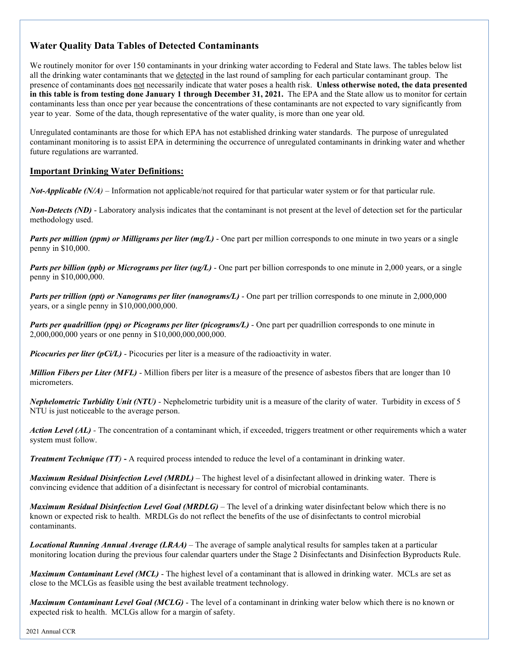# **Water Quality Data Tables of Detected Contaminants**

We routinely monitor for over 150 contaminants in your drinking water according to Federal and State laws. The tables below list all the drinking water contaminants that we detected in the last round of sampling for each particular contaminant group. The presence of contaminants does not necessarily indicate that water poses a health risk. **Unless otherwise noted, the data presented in this table is from testing done January 1 through December 31, 2021.** The EPA and the State allow us to monitor for certain contaminants less than once per year because the concentrations of these contaminants are not expected to vary significantly from year to year. Some of the data, though representative of the water quality, is more than one year old.

Unregulated contaminants are those for which EPA has not established drinking water standards. The purpose of unregulated contaminant monitoring is to assist EPA in determining the occurrence of unregulated contaminants in drinking water and whether future regulations are warranted.

## **Important Drinking Water Definitions:**

*Not-Applicable (N/A*) – Information not applicable/not required for that particular water system or for that particular rule.

*Non-Detects (ND)* - Laboratory analysis indicates that the contaminant is not present at the level of detection set for the particular methodology used.

*Parts per million (ppm) or Milligrams per liter (mg/L)* - One part per million corresponds to one minute in two years or a single penny in \$10,000.

*Parts per billion (ppb) or Micrograms per liter (ug/L)* - One part per billion corresponds to one minute in 2,000 years, or a single penny in \$10,000,000.

*Parts per trillion (ppt) or Nanograms per liter (nanograms/L)* - One part per trillion corresponds to one minute in 2,000,000 years, or a single penny in \$10,000,000,000.

*Parts per quadrillion (ppq) or Picograms per liter (picograms/L)* - One part per quadrillion corresponds to one minute in 2,000,000,000 years or one penny in \$10,000,000,000,000.

*Picocuries per liter (pCi/L)* - Picocuries per liter is a measure of the radioactivity in water.

*Million Fibers per Liter (MFL)* - Million fibers per liter is a measure of the presence of asbestos fibers that are longer than 10 micrometers.

*Nephelometric Turbidity Unit (NTU)* - Nephelometric turbidity unit is a measure of the clarity of water. Turbidity in excess of 5 NTU is just noticeable to the average person.

*Action Level (AL) -* The concentration of a contaminant which, if exceeded, triggers treatment or other requirements which a water system must follow.

*Treatment Technique (TT)* **-** A required process intended to reduce the level of a contaminant in drinking water.

*Maximum Residual Disinfection Level (MRDL)* – The highest level of a disinfectant allowed in drinking water. There is convincing evidence that addition of a disinfectant is necessary for control of microbial contaminants.

*Maximum Residual Disinfection Level Goal (MRDLG)* – The level of a drinking water disinfectant below which there is no known or expected risk to health. MRDLGs do not reflect the benefits of the use of disinfectants to control microbial contaminants.

*Locational Running Annual Average (LRAA)* – The average of sample analytical results for samples taken at a particular monitoring location during the previous four calendar quarters under the Stage 2 Disinfectants and Disinfection Byproducts Rule.

*Maximum Contaminant Level (MCL)* - The highest level of a contaminant that is allowed in drinking water. MCLs are set as close to the MCLGs as feasible using the best available treatment technology.

*Maximum Contaminant Level Goal (MCLG)* - The level of a contaminant in drinking water below which there is no known or expected risk to health. MCLGs allow for a margin of safety.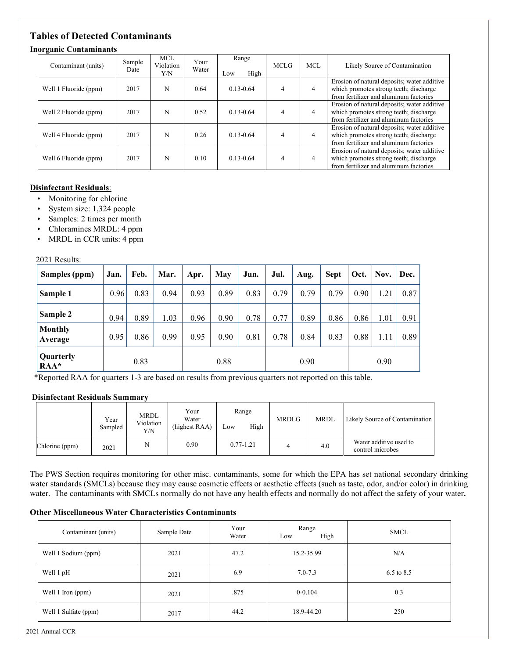# **Tables of Detected Contaminants**

### **Inorganic Contaminants**

| Contaminant (units)   | Sample<br>Date | <b>MCL</b><br>Violation<br>Y/N | Your<br>Water | Range<br>High<br>Low | <b>MCLG</b>    | MCL. | Likely Source of Contamination                                                                                                  |
|-----------------------|----------------|--------------------------------|---------------|----------------------|----------------|------|---------------------------------------------------------------------------------------------------------------------------------|
| Well 1 Fluoride (ppm) | 2017           | N                              | 0.64          | $0.13 - 0.64$        | 4              | 4    | Erosion of natural deposits; water additive<br>which promotes strong teeth; discharge<br>from fertilizer and aluminum factories |
| Well 2 Fluoride (ppm) | 2017           | N                              | 0.52          | $0.13 - 0.64$        | 4              | 4    | Erosion of natural deposits; water additive<br>which promotes strong teeth; discharge<br>from fertilizer and aluminum factories |
| Well 4 Fluoride (ppm) | 2017           | N                              | 0.26          | $0.13 - 0.64$        | 4              | 4    | Erosion of natural deposits; water additive<br>which promotes strong teeth; discharge<br>from fertilizer and aluminum factories |
| Well 6 Fluoride (ppm) | 2017           | N                              | 0.10          | $0.13 - 0.64$        | $\overline{4}$ | 4    | Erosion of natural deposits; water additive<br>which promotes strong teeth; discharge<br>from fertilizer and aluminum factories |

### **Disinfectant Residuals**:

- Monitoring for chlorine
- System size: 1,324 people
- Samples: 2 times per month
- Chloramines MRDL: 4 ppm
- MRDL in CCR units: 4 ppm

#### 2021 Results:

| Samples (ppm)             | Jan. | Feb. | Mar. | Apr. | May  | Jun. | Jul. | Aug. | Sept | Oct. | Nov. | Dec. |
|---------------------------|------|------|------|------|------|------|------|------|------|------|------|------|
| Sample 1                  | 0.96 | 0.83 | 0.94 | 0.93 | 0.89 | 0.83 | 0.79 | 0.79 | 0.79 | 0.90 | 1.21 | 0.87 |
| Sample 2                  | 0.94 | 0.89 | 1.03 | 0.96 | 0.90 | 0.78 | 0.77 | 0.89 | 0.86 | 0.86 | 1.01 | 0.91 |
| <b>Monthly</b><br>Average | 0.95 | 0.86 | 0.99 | 0.95 | 0.90 | 0.81 | 0.78 | 0.84 | 0.83 | 0.88 | 1.11 | 0.89 |
| Quarterly<br>$RAA*$       |      | 0.83 |      |      | 0.88 |      |      | 0.90 |      |      | 0.90 |      |

\*Reported RAA for quarters 1-3 are based on results from previous quarters not reported on this table.

#### **Disinfectant Residuals Summary**

|                | Year<br>Sampled | MRDL<br>Violation<br>Y/N | Your<br>Water<br>(highest RAA) | Range<br>High<br>Low | <b>MRDLG</b> | <b>MRDL</b> | Likely Source of Contamination             |
|----------------|-----------------|--------------------------|--------------------------------|----------------------|--------------|-------------|--------------------------------------------|
| Chlorine (ppm) | 2021            | N                        | 0.90                           | $0.77 - 1.21$        |              | 4.0         | Water additive used to<br>control microbes |

The PWS Section requires monitoring for other misc. contaminants, some for which the EPA has set national secondary drinking water standards (SMCLs) because they may cause cosmetic effects or aesthetic effects (such as taste, odor, and/or color) in drinking water. The contaminants with SMCLs normally do not have any health effects and normally do not affect the safety of your water**.** 

### **Other Miscellaneous Water Characteristics Contaminants**

| Contaminant (units)  | Sample Date | Your<br>Water | Range<br>High<br>Low | <b>SMCL</b> |
|----------------------|-------------|---------------|----------------------|-------------|
| Well 1 Sodium (ppm)  | 2021        | 47.2          | 15.2-35.99           | N/A         |
| Well 1 pH            | 2021        | 6.9           | $7.0 - 7.3$          | 6.5 to 8.5  |
| Well 1 Iron (ppm)    | 2021        | .875          | $0 - 0.104$          | 0.3         |
| Well 1 Sulfate (ppm) | 2017        | 44.2          | 18.9-44.20           | 250         |